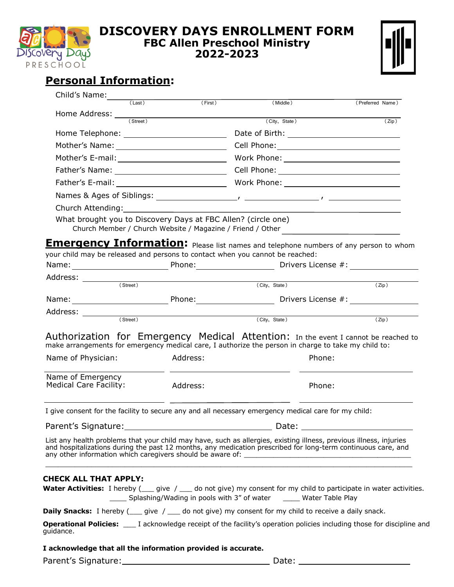

## **DISCOVERY DAYS ENROLLMENT FORM FBC Allen Preschool Ministry 2022-2023**

| İ<br>$\mathbf{I}$ |
|-------------------|
|-------------------|

## **Personal Information:**

| Child's Name:                                                                 |          |                                                                                                                                                                                                                                                                                                  |                     |
|-------------------------------------------------------------------------------|----------|--------------------------------------------------------------------------------------------------------------------------------------------------------------------------------------------------------------------------------------------------------------------------------------------------|---------------------|
| $(\text{Last})$                                                               | (First)  | (Middle)                                                                                                                                                                                                                                                                                         | (Preferred Name)    |
| Home Address: <u>Calculation</u>                                              |          | (City, State)                                                                                                                                                                                                                                                                                    | $\overline{(Zip )}$ |
|                                                                               |          |                                                                                                                                                                                                                                                                                                  |                     |
|                                                                               |          |                                                                                                                                                                                                                                                                                                  |                     |
|                                                                               |          |                                                                                                                                                                                                                                                                                                  |                     |
|                                                                               |          |                                                                                                                                                                                                                                                                                                  |                     |
|                                                                               |          |                                                                                                                                                                                                                                                                                                  |                     |
|                                                                               |          |                                                                                                                                                                                                                                                                                                  |                     |
|                                                                               |          |                                                                                                                                                                                                                                                                                                  |                     |
| What brought you to Discovery Days at FBC Allen? (circle one)                 |          | Church Member / Church Website / Magazine / Friend / Other<br><b>Emergency Information:</b> Please list names and telephone numbers of any person to whom                                                                                                                                        |                     |
| your child may be released and persons to contact when you cannot be reached: |          |                                                                                                                                                                                                                                                                                                  |                     |
|                                                                               |          |                                                                                                                                                                                                                                                                                                  |                     |
|                                                                               |          | (City, State)                                                                                                                                                                                                                                                                                    | $\overline{(Zip )}$ |
|                                                                               |          |                                                                                                                                                                                                                                                                                                  |                     |
|                                                                               |          |                                                                                                                                                                                                                                                                                                  |                     |
|                                                                               |          |                                                                                                                                                                                                                                                                                                  |                     |
|                                                                               |          | (City, State)                                                                                                                                                                                                                                                                                    | $\overline{(Zip )}$ |
|                                                                               |          | Authorization for Emergency Medical Attention: In the event I cannot be reached to<br>make arrangements for emergency medical care, I authorize the person in charge to take my child to:                                                                                                        |                     |
| Name of Physician:                                                            | Address: | Phone:                                                                                                                                                                                                                                                                                           |                     |
| <b>Medical Care Facility:</b>                                                 | Address: | Phone:                                                                                                                                                                                                                                                                                           |                     |
|                                                                               |          | I give consent for the facility to secure any and all necessary emergency medical care for my child:                                                                                                                                                                                             |                     |
| Name of Emergency                                                             |          |                                                                                                                                                                                                                                                                                                  |                     |
|                                                                               |          | List any health problems that your child may have, such as allergies, existing illness, previous illness, injuries<br>and hospitalizations during the past 12 months, any medication prescribed for long-term continuous care, and<br>any other information which caregivers should be aware of: |                     |
| <b>CHECK ALL THAT APPLY:</b>                                                  |          |                                                                                                                                                                                                                                                                                                  |                     |
|                                                                               |          | <b>Water Activities:</b> I hereby ( give / ( ( do not give) my consent for my child to participate in water activities.<br>Splashing/Wading in pools with 3" of water ______ Water Table Play                                                                                                    |                     |
|                                                                               |          | <b>Daily Snacks:</b> I hereby ( give / __ do not give) my consent for my child to receive a daily snack.                                                                                                                                                                                         |                     |
| guidance.                                                                     |          | <b>Operational Policies:</b> ____ I acknowledge receipt of the facility's operation policies including those for discipline and                                                                                                                                                                  |                     |
| I acknowledge that all the information provided is accurate.                  |          |                                                                                                                                                                                                                                                                                                  |                     |